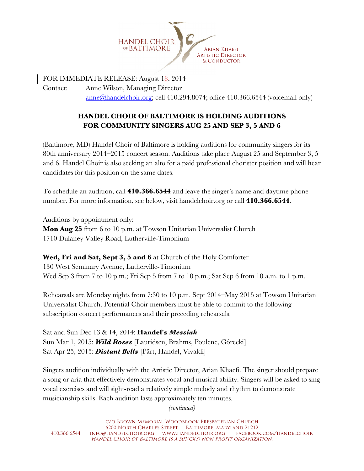

FOR IMMEDIATE RELEASE: August 18, 2014 Contact: Anne Wilson, Managing Director anne@handelchoir.org; cell 410.294.8074; office 410.366.6544 (voicemail only)

## **HANDEL CHOIR OF BALTIMORE IS HOLDING AUDITIONS FOR COMMUNITY SINGERS AUG 25 AND SEP 3, 5 AND 6**

(Baltimore, MD) Handel Choir of Baltimore is holding auditions for community singers for its 80th anniversary 2014–2015 concert season. Auditions take place August 25 and September 3, 5 and 6. Handel Choir is also seeking an alto for a paid professional chorister position and will hear candidates for this position on the same dates.

To schedule an audition, call **410.366.6544** and leave the singer's name and daytime phone number. For more information, see below, visit handelchoir.org or call **410.366.6544**.

Auditions by appointment only:

**Mon Aug 25** from 6 to 10 p.m. at Towson Unitarian Universalist Church 1710 Dulaney Valley Road, Lutherville-Timonium

**Wed, Fri and Sat, Sept 3, 5 and 6** at Church of the Holy Comforter 130 West Seminary Avenue, Lutherville-Timonium Wed Sep 3 from 7 to 10 p.m.; Fri Sep 5 from 7 to 10 p.m.; Sat Sep 6 from 10 a.m. to 1 p.m.

Rehearsals are Monday nights from 7:30 to 10 p.m. Sept 2014–May 2015 at Towson Unitarian Universalist Church. Potential Choir members must be able to commit to the following subscription concert performances and their preceding rehearsals:

Sat and Sun Dec 13 & 14, 2014: **Handel's** *Messiah* Sun Mar 1, 2015: *Wild Roses* [Lauridsen, Brahms, Poulenc, Górecki] Sat Apr 25, 2015: *Distant Bells* [Pärt, Handel, Vivaldi]

Singers audition individually with the Artistic Director, Arian Khaefi. The singer should prepare a song or aria that effectively demonstrates vocal and musical ability. Singers will be asked to sing vocal exercises and will sight-read a relatively simple melody and rhythm to demonstrate musicianship skills. Each audition lasts approximately ten minutes.

*(continued)*